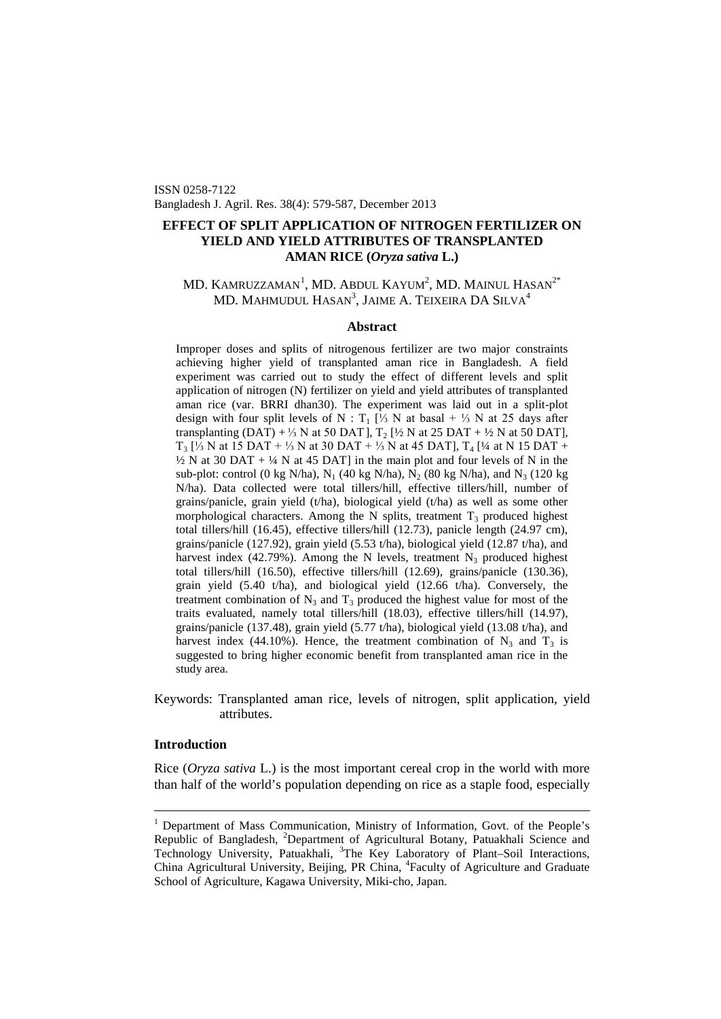ISSN 0258-7122 Bangladesh J. Agril. Res. 38(4): 579-587, December 2013

# **EFFECT OF SPLIT APPLICATION OF NITROGEN FERTILIZER ON YIELD AND YIELD ATTRIBUTES OF TRANSPLANTED AMAN RICE (***Oryza sativa* **L.)**

# $\rm MD.~K$ AMRUZZAMAN $^1,$  $^1,$  $^1,$  MD. Abdul Kayum $^2,$  MD. Mainul Hasan $^{2^*}$ MD. MAHMUDUL  $\mathrm{Hasan}^3$ , Jaime A. Teixeira DA Silva $^4$

## **Abstract**

Improper doses and splits of nitrogenous fertilizer are two major constraints achieving higher yield of transplanted aman rice in Bangladesh. A field experiment was carried out to study the effect of different levels and split application of nitrogen (N) fertilizer on yield and yield attributes of transplanted aman rice (var. BRRI dhan30). The experiment was laid out in a split-plot design with four split levels of N : T<sub>1</sub> [<sup>1</sup>/<sub>3</sub> N at basal + <sup>1</sup>/<sub>3</sub> N at 25 days after transplanting (DAT) + 1/3 N at 50 DAT],  $T_2$  [1/2 N at 25 DAT + 1/2 N at 50 DAT],  $T_3$  [⅓ N at 15 DAT + ⅓ N at 30 DAT + ⅓ N at 45 DAT],  $T_4$  [¼ at N 15 DAT +  $\frac{1}{2}$  N at 30 DAT +  $\frac{1}{4}$  N at 45 DAT] in the main plot and four levels of N in the sub-plot: control (0 kg N/ha),  $N_1$  (40 kg N/ha),  $N_2$  (80 kg N/ha), and  $N_3$  (120 kg N/ha). Data collected were total tillers/hill, effective tillers/hill, number of grains/panicle, grain yield (t/ha), biological yield (t/ha) as well as some other morphological characters. Among the N splits, treatment  $T_3$  produced highest total tillers/hill (16.45), effective tillers/hill (12.73), panicle length (24.97 cm), grains/panicle (127.92), grain yield (5.53 t/ha), biological yield (12.87 t/ha), and harvest index (42.79%). Among the N levels, treatment  $N_3$  produced highest total tillers/hill (16.50), effective tillers/hill (12.69), grains/panicle (130.36), grain yield (5.40 t/ha), and biological yield (12.66 t/ha). Conversely, the treatment combination of  $N_3$  and  $T_3$  produced the highest value for most of the traits evaluated, namely total tillers/hill (18.03), effective tillers/hill (14.97), grains/panicle (137.48), grain yield (5.77 t/ha), biological yield (13.08 t/ha), and harvest index (44.10%). Hence, the treatment combination of  $N_3$  and  $T_3$  is suggested to bring higher economic benefit from transplanted aman rice in the study area.

Keywords: Transplanted aman rice, levels of nitrogen, split application, yield attributes.

## **Introduction**

Rice (*Oryza sativa* L.) is the most important cereal crop in the world with more than half of the world's population depending on rice as a staple food, especially

<span id="page-0-0"></span><sup>&</sup>lt;sup>1</sup> Department of Mass Communication, Ministry of Information, Govt. of the People's Republic of Bangladesh, <sup>2</sup>Department of Agricultural Botany, Patuakhali Science and Technology University, Patuakhali, <sup>3</sup>The Key Laboratory of Plant-Soil Interactions, China Agricultural University, Beijing, PR China, <sup>4</sup>Faculty of Agriculture and Graduate School of Agriculture, Kagawa University, Miki-cho, Japan.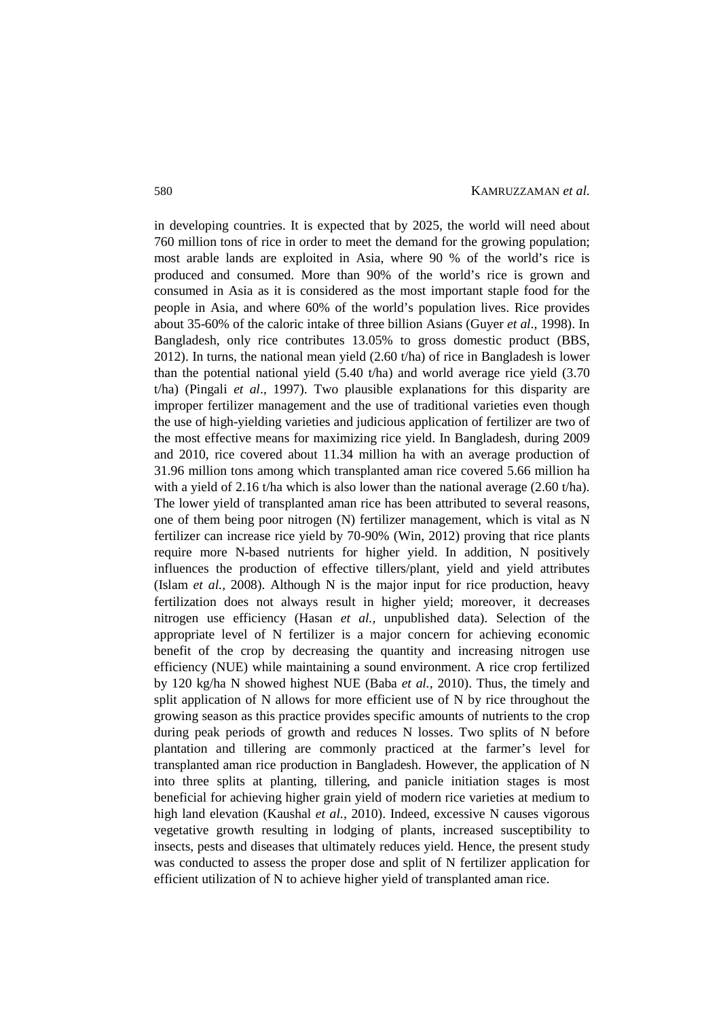in developing countries. It is expected that by 2025, the world will need about 760 million tons of rice in order to meet the demand for the growing population; most arable lands are exploited in Asia, where 90 % of the world's rice is produced and consumed. More than 90% of the world's rice is grown and consumed in Asia as it is considered as the most important staple food for the people in Asia, and where 60% of the world's population lives. Rice provides about 35-60% of the caloric intake of three billion Asians (Guyer *et al*., 1998). In Bangladesh, only rice contributes 13.05% to gross domestic product (BBS, 2012). In turns, the national mean yield (2.60 t/ha) of rice in Bangladesh is lower than the potential national yield (5.40 t/ha) and world average rice yield (3.70 t/ha) (Pingali *et al*., 1997). Two plausible explanations for this disparity are improper fertilizer management and the use of traditional varieties even though the use of high-yielding varieties and judicious application of fertilizer are two of the most effective means for maximizing rice yield. In Bangladesh, during 2009 and 2010, rice covered about 11.34 million ha with an average production of 31.96 million tons among which transplanted aman rice covered 5.66 million ha with a yield of 2.16 t/ha which is also lower than the national average (2.60 t/ha). The lower yield of transplanted aman rice has been attributed to several reasons, one of them being poor nitrogen (N) fertilizer management, which is vital as N fertilizer can increase rice yield by 70-90% (Win, 2012) proving that rice plants require more N-based nutrients for higher yield. In addition, N positively influences the production of effective tillers/plant, yield and yield attributes (Islam *et al.,* 2008). Although N is the major input for rice production, heavy fertilization does not always result in higher yield; moreover, it decreases nitrogen use efficiency (Hasan *et al.,* unpublished data). Selection of the appropriate level of N fertilizer is a major concern for achieving economic benefit of the crop by decreasing the quantity and increasing nitrogen use efficiency (NUE) while maintaining a sound environment. A rice crop fertilized by 120 kg/ha N showed highest NUE (Baba *et al.,* 2010). Thus, the timely and split application of N allows for more efficient use of N by rice throughout the growing season as this practice provides specific amounts of nutrients to the crop during peak periods of growth and reduces N losses. Two splits of N before plantation and tillering are commonly practiced at the farmer's level for transplanted aman rice production in Bangladesh. However, the application of N into three splits at planting, tillering, and panicle initiation stages is most beneficial for achieving higher grain yield of modern rice varieties at medium to high land elevation (Kaushal *et al.,* 2010). Indeed, excessive N causes vigorous vegetative growth resulting in lodging of plants, increased susceptibility to insects, pests and diseases that ultimately reduces yield. Hence, the present study was conducted to assess the proper dose and split of N fertilizer application for efficient utilization of N to achieve higher yield of transplanted aman rice.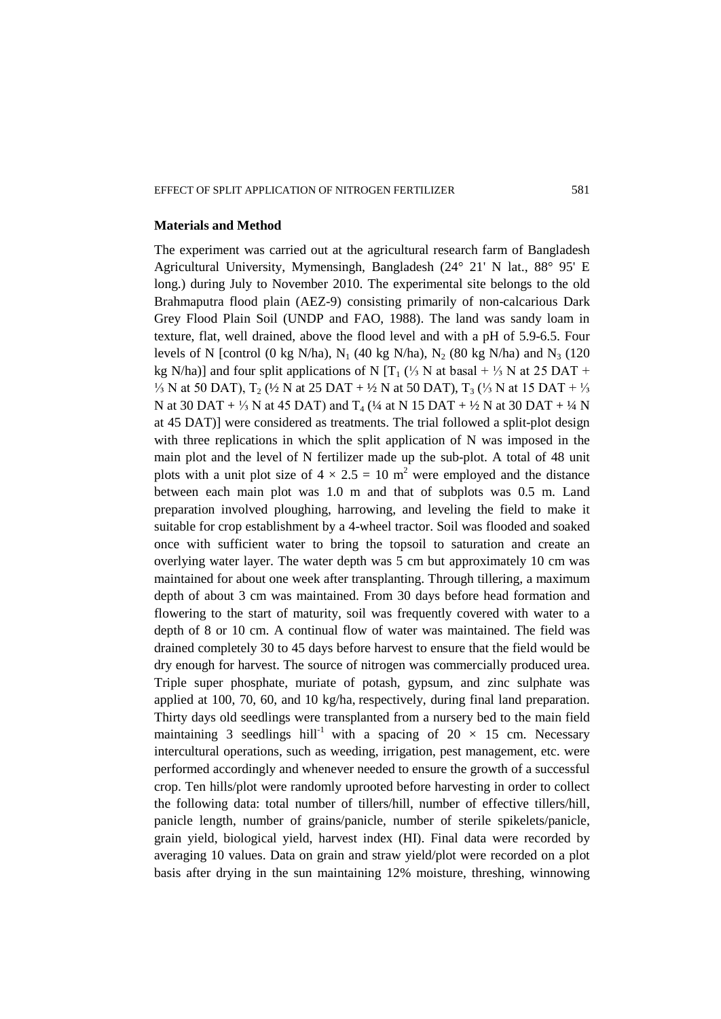#### EFFECT OF SPLIT APPLICATION OF NITROGEN FERTILIZER 581

### **Materials and Method**

The experiment was carried out at the agricultural research farm of Bangladesh Agricultural University, Mymensingh, Bangladesh (24° 21' N lat., 88° 95' E long.) during July to November 2010. The experimental site belongs to the old Brahmaputra flood plain (AEZ-9) consisting primarily of non-calcarious Dark Grey Flood Plain Soil (UNDP and FAO, 1988). The land was sandy loam in texture, flat, well drained, above the flood level and with a pH of 5.9-6.5. Four levels of N [control (0 kg N/ha), N<sub>1</sub> (40 kg N/ha), N<sub>2</sub> (80 kg N/ha) and N<sub>3</sub> (120 kg N/ha)] and four split applications of N [T<sub>1</sub> (⅓ N at basal + ⅓ N at 25 DAT +  $\frac{1}{3}$  N at 50 DAT), T<sub>2</sub> (½ N at 25 DAT + ½ N at 50 DAT), T<sub>3</sub> (½ N at 15 DAT + ½ N at 30 DAT + 1/3 N at 45 DAT) and  $T_4$  (1/4 at N 15 DAT + 1/2 N at 30 DAT + 1/4 N at 45 DAT)] were considered as treatments. The trial followed a split-plot design with three replications in which the split application of N was imposed in the main plot and the level of N fertilizer made up the sub-plot. A total of 48 unit plots with a unit plot size of  $4 \times 2.5 = 10$  m<sup>2</sup> were employed and the distance between each main plot was 1.0 m and that of subplots was 0.5 m. Land preparation involved ploughing, harrowing, and leveling the field to make it suitable for crop establishment by a 4-wheel tractor. Soil was flooded and soaked once with sufficient water to bring the topsoil to saturation and create an overlying water layer. The water depth was 5 cm but approximately 10 cm was maintained for about one week after transplanting. Through tillering, a maximum depth of about 3 cm was maintained. From 30 days before head formation and flowering to the start of maturity, soil was frequently covered with water to a depth of 8 or 10 cm. A continual flow of water was maintained. The field was drained completely 30 to 45 days before harvest to ensure that the field would be dry enough for harvest. The source of nitrogen was commercially produced urea. Triple super phosphate, muriate of potash, gypsum, and zinc sulphate was applied at 100, 70, 60, and 10 kg/ha, respectively, during final land preparation. Thirty days old seedlings were transplanted from a nursery bed to the main field maintaining 3 seedlings hill<sup>-1</sup> with a spacing of  $20 \times 15$  cm. Necessary intercultural operations, such as weeding, irrigation, pest management, etc. were performed accordingly and whenever needed to ensure the growth of a successful crop. Ten hills/plot were randomly uprooted before harvesting in order to collect the following data: total number of tillers/hill, number of effective tillers/hill, panicle length, number of grains/panicle, number of sterile spikelets/panicle, grain yield, biological yield, harvest index (HI). Final data were recorded by averaging 10 values. Data on grain and straw yield/plot were recorded on a plot basis after drying in the sun maintaining 12% moisture, threshing, winnowing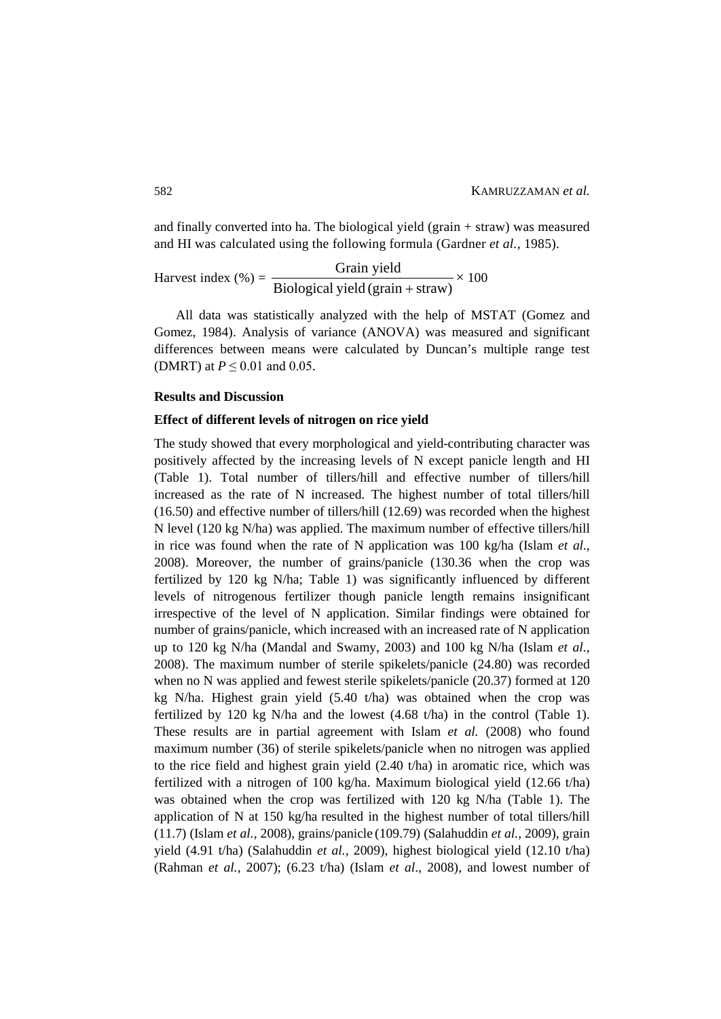and finally converted into ha. The biological yield (grain + straw) was measured and HI was calculated using the following formula (Gardner *et al.,* 1985).

Harvest index  $(\%) = \frac{3444 \text{ J} \cdot \text{kg}}{ \text{Biological yield (grain + straw)}}$  Grain yield +  $\times$  100

All data was statistically analyzed with the help of MSTAT (Gomez and Gomez, 1984). Analysis of variance (ANOVA) was measured and significant differences between means were calculated by Duncan's multiple range test (DMRT) at  $P \leq 0.01$  and 0.05.

## **Results and Discussion**

#### **Effect of different levels of nitrogen on rice yield**

The study showed that every morphological and yield-contributing character was positively affected by the increasing levels of N except panicle length and HI (Table 1). Total number of tillers/hill and effective number of tillers/hill increased as the rate of N increased. The highest number of total tillers/hill (16.50) and effective number of tillers/hill (12.69) was recorded when the highest N level (120 kg N/ha) was applied. The maximum number of effective tillers/hill in rice was found when the rate of N application was 100 kg/ha (Islam *et al.,*  2008). Moreover, the number of grains/panicle (130.36 when the crop was fertilized by 120 kg N/ha; Table 1) was significantly influenced by different levels of nitrogenous fertilizer though panicle length remains insignificant irrespective of the level of N application. Similar findings were obtained for number of grains/panicle, which increased with an increased rate of N application up to 120 kg N/ha (Mandal and Swamy, 2003) and 100 kg N/ha (Islam *et al.,*  2008). The maximum number of sterile spikelets/panicle (24.80) was recorded when no N was applied and fewest sterile spikelets/panicle (20.37) formed at 120 kg N/ha. Highest grain yield (5.40 t/ha) was obtained when the crop was fertilized by 120 kg N/ha and the lowest (4.68 t/ha) in the control (Table 1). These results are in partial agreement with Islam *et al.* (2008) who found maximum number (36) of sterile spikelets/panicle when no nitrogen was applied to the rice field and highest grain yield (2.40 t/ha) in aromatic rice, which was fertilized with a nitrogen of 100 kg/ha. Maximum biological yield (12.66 t/ha) was obtained when the crop was fertilized with 120 kg N/ha (Table 1). The application of N at 150 kg/ha resulted in the highest number of total tillers/hill (11.7) (Islam *et al.,* 2008), grains/panicle (109.79) (Salahuddin *et al.,* 2009), grain yield (4.91 t/ha) (Salahuddin *et al.,* 2009), highest biological yield (12.10 t/ha) (Rahman *et al.,* 2007); (6.23 t/ha) (Islam *et al*., 2008), and lowest number of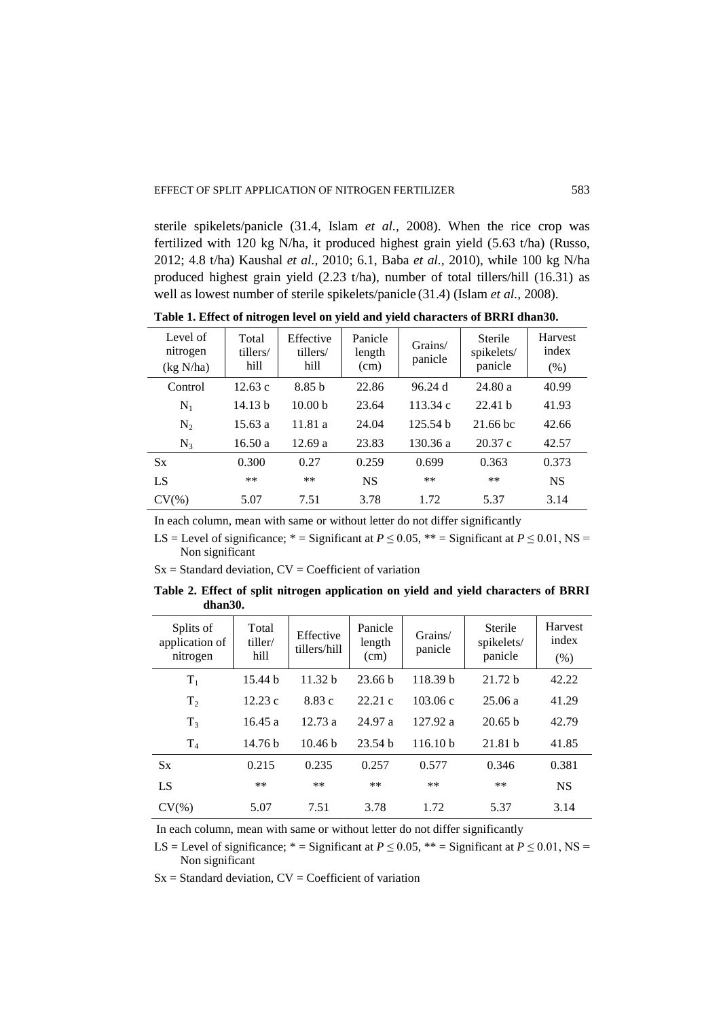sterile spikelets/panicle (31.4, Islam *et al.,* 2008). When the rice crop was fertilized with 120 kg N/ha, it produced highest grain yield (5.63 t/ha) (Russo, 2012; 4.8 t/ha) Kaushal *et al.,* 2010; 6.1, Baba *et al.,* 2010), while 100 kg N/ha produced highest grain yield (2.23 t/ha), number of total tillers/hill (16.31) as well as lowest number of sterile spikelets/panicle (31.4) (Islam *et al.,* 2008).

| Level of<br>nitrogen<br>(kg N/ha) | Total<br>tillers/<br>hill | Effective<br>tillers/<br>hill | Panicle<br>length<br>(cm) | Grains/<br>panicle | Sterile<br>spikelets/<br>panicle | Harvest<br>index<br>(% ) |
|-----------------------------------|---------------------------|-------------------------------|---------------------------|--------------------|----------------------------------|--------------------------|
| Control                           | 12.63c                    | 8.85h                         | 22.86                     | 96.24d             | 24.80a                           | 40.99                    |
| $N_1$                             | 14.13 b                   | 10.00 <sub>b</sub>            | 23.64                     | 113.34 c           | 22.41h                           | 41.93                    |
| $N_2$                             | 15.63a                    | 11.81 a                       | 24.04                     | 125.54h            | 21.66 bc                         | 42.66                    |
| $N_3$                             | 16.50a                    | 12.69a                        | 23.83                     | 130.36 a           | 20.37c                           | 42.57                    |
| $S_{X}$                           | 0.300                     | 0.27                          | 0.259                     | 0.699              | 0.363                            | 0.373                    |
| LS                                | **                        | **                            | <b>NS</b>                 | **                 | $***$                            | <b>NS</b>                |
| $CV(\%)$                          | 5.07                      | 7.51                          | 3.78                      | 1.72               | 5.37                             | 3.14                     |

**Table 1. Effect of nitrogen level on yield and yield characters of BRRI dhan30.**

In each column, mean with same or without letter do not differ significantly

LS = Level of significance; \* = Significant at  $P \le 0.05$ , \*\* = Significant at  $P \le 0.01$ , NS = Non significant

 $Sx = Standard deviation, CV = Coefficient of variation$ 

**Table 2. Effect of split nitrogen application on yield and yield characters of BRRI dhan30.**

| Splits of<br>application of<br>nitrogen | Total<br>tiller/<br>hill | Effective<br>tillers/hill | Panicle<br>length<br>(cm) | Grains/<br>panicle  | Sterile<br>spikelets/<br>panicle | Harvest<br>index<br>(% ) |
|-----------------------------------------|--------------------------|---------------------------|---------------------------|---------------------|----------------------------------|--------------------------|
| $T_1$                                   | 15.44 h                  | 11.32 <sub>b</sub>        | 23.66 <sub>b</sub>        | 118.39 <sub>b</sub> | 21.72 <sub>b</sub>               | 42.22                    |
| T <sub>2</sub>                          | 12.23c                   | 8.83c                     | 22.21c                    | 103.06c             | 25.06a                           | 41.29                    |
| $T_3$                                   | 16.45a                   | 12.73a                    | 24.97 a                   | 127.92 a            | 20.65 <sub>b</sub>               | 42.79                    |
| T <sub>4</sub>                          | 14.76 <sub>b</sub>       | 10.46 <sub>b</sub>        | 23.54h                    | 116.10 <sub>b</sub> | 21.81h                           | 41.85                    |
| $S_{X}$                                 | 0.215                    | 0.235                     | 0.257                     | 0.577               | 0.346                            | 0.381                    |
| LS                                      | $***$                    | $***$                     | $***$                     | **                  | $***$                            | <b>NS</b>                |
| $CV(\% )$                               | 5.07                     | 7.51                      | 3.78                      | 1.72                | 5.37                             | 3.14                     |

In each column, mean with same or without letter do not differ significantly

LS = Level of significance; \* = Significant at  $P \le 0.05$ , \*\* = Significant at  $P \le 0.01$ , NS = Non significant

 $Sx = Standard deviation, CV = Coefficient of variation$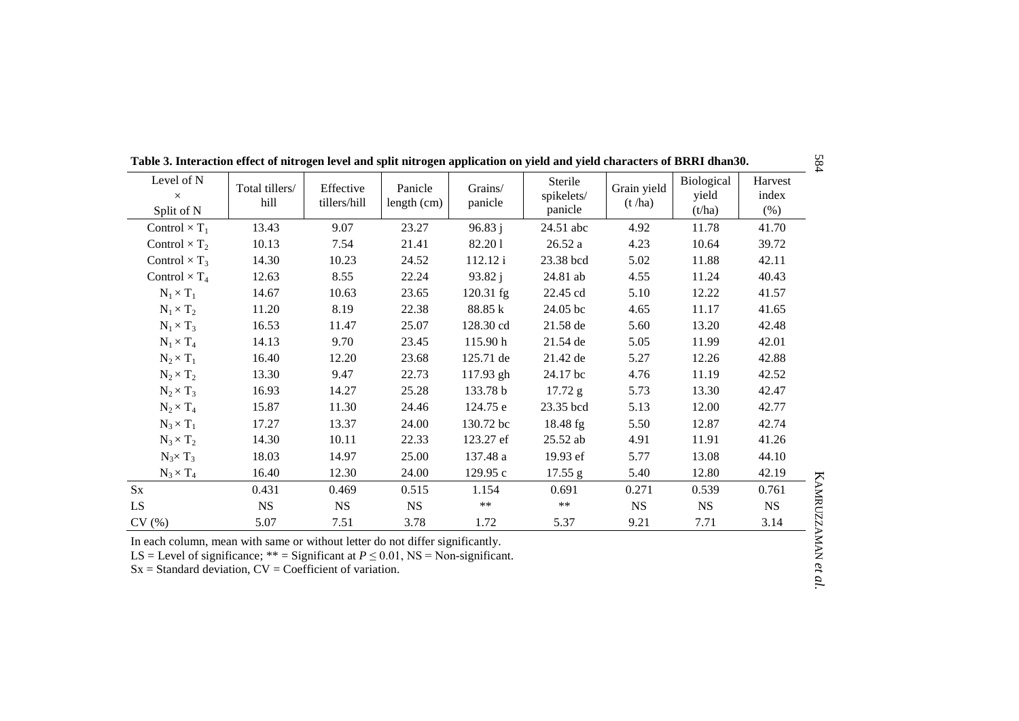| Level of N<br>$\times$<br>Split of N | Total tillers/<br>hill | Effective<br>tillers/hill | Panicle<br>length (cm) | Grains/<br>panicle | Sterile<br>spikelets/<br>panicle | Grain yield<br>(t / ha) | Biological<br>yield<br>(t/ha) | Harvest<br>index<br>$(\%)$ |
|--------------------------------------|------------------------|---------------------------|------------------------|--------------------|----------------------------------|-------------------------|-------------------------------|----------------------------|
| Control $\times T_1$                 | 13.43                  | 9.07                      | 23.27                  | 96.83j             | 24.51 abc                        | 4.92                    | 11.78                         | 41.70                      |
| Control $\times T_2$                 | 10.13                  | 7.54                      | 21.41                  | 82.201             | 26.52a                           | 4.23                    | 10.64                         | 39.72                      |
| Control $\times T_3$                 | 14.30                  | 10.23                     | 24.52                  | 112.12 i           | 23.38 bcd                        | 5.02                    | 11.88                         | 42.11                      |
| Control $\times T_4$                 | 12.63                  | 8.55                      | 22.24                  | 93.82j             | 24.81 ab                         | 4.55                    | 11.24                         | 40.43                      |
| $N_1 \times T_1$                     | 14.67                  | 10.63                     | 23.65                  | $120.31$ fg        | 22.45 cd                         | 5.10                    | 12.22                         | 41.57                      |
| $N_1 \times T_2$                     | 11.20                  | 8.19                      | 22.38                  | 88.85 k            | 24.05 bc                         | 4.65                    | 11.17                         | 41.65                      |
| $N_1 \times T_3$                     | 16.53                  | 11.47                     | 25.07                  | 128.30 cd          | 21.58 de                         | 5.60                    | 13.20                         | 42.48                      |
| $N_1 \times T_4$                     | 14.13                  | 9.70                      | 23.45                  | 115.90 h           | 21.54 de                         | 5.05                    | 11.99                         | 42.01                      |
| $N_2 \times T_1$                     | 16.40                  | 12.20                     | 23.68                  | 125.71 de          | 21.42 de                         | 5.27                    | 12.26                         | 42.88                      |
| $N_2 \times T_2$                     | 13.30                  | 9.47                      | 22.73                  | $117.93$ gh        | 24.17 bc                         | 4.76                    | 11.19                         | 42.52                      |
| $N_2 \times T_3$                     | 16.93                  | 14.27                     | 25.28                  | 133.78 b           | 17.72 g                          | 5.73                    | 13.30                         | 42.47                      |
| $N_2 \times T_4$                     | 15.87                  | 11.30                     | 24.46                  | 124.75 e           | 23.35 bcd                        | 5.13                    | 12.00                         | 42.77                      |
| $N_3 \times T_1$                     | 17.27                  | 13.37                     | 24.00                  | 130.72 bc          | 18.48 fg                         | 5.50                    | 12.87                         | 42.74                      |
| $N_3 \times T_2$                     | 14.30                  | 10.11                     | 22.33                  | 123.27 ef          | $25.52$ ab                       | 4.91                    | 11.91                         | 41.26                      |
| $N_3 \times T_3$                     | 18.03                  | 14.97                     | 25.00                  | 137.48 a           | 19.93 ef                         | 5.77                    | 13.08                         | 44.10                      |
| $N_3 \times T_4$                     | 16.40                  | 12.30                     | 24.00                  | 129.95 c           | 17.55 g                          | 5.40                    | 12.80                         | 42.19                      |
| $S_{X}$                              | 0.431                  | 0.469                     | 0.515                  | 1.154              | 0.691                            | 0.271                   | 0.539                         | 0.761                      |
| LS.                                  | <b>NS</b>              | <b>NS</b>                 | <b>NS</b>              | $***$              | $***$                            | <b>NS</b>               | <b>NS</b>                     | <b>NS</b>                  |
| CV(%)                                | 5.07                   | 7.51                      | 3.78                   | 1.72               | 5.37                             | 9.21                    | 7.71                          | 3.14                       |

**Table 3. Interaction effect of nitrogen level and split nitrogen application on yield and yield characters of BRRI dhan30.**

In each column, mean with same or without letter do not differ significantly.

LS = Level of significance;  $**$  = Significant at  $P \le 0.01$ , NS = Non-significant.

 $Sx = Standard deviation, CV = Coefficient of variation.$ 

KAMRUZZAMAN **KAMRUZZAMAN et al.**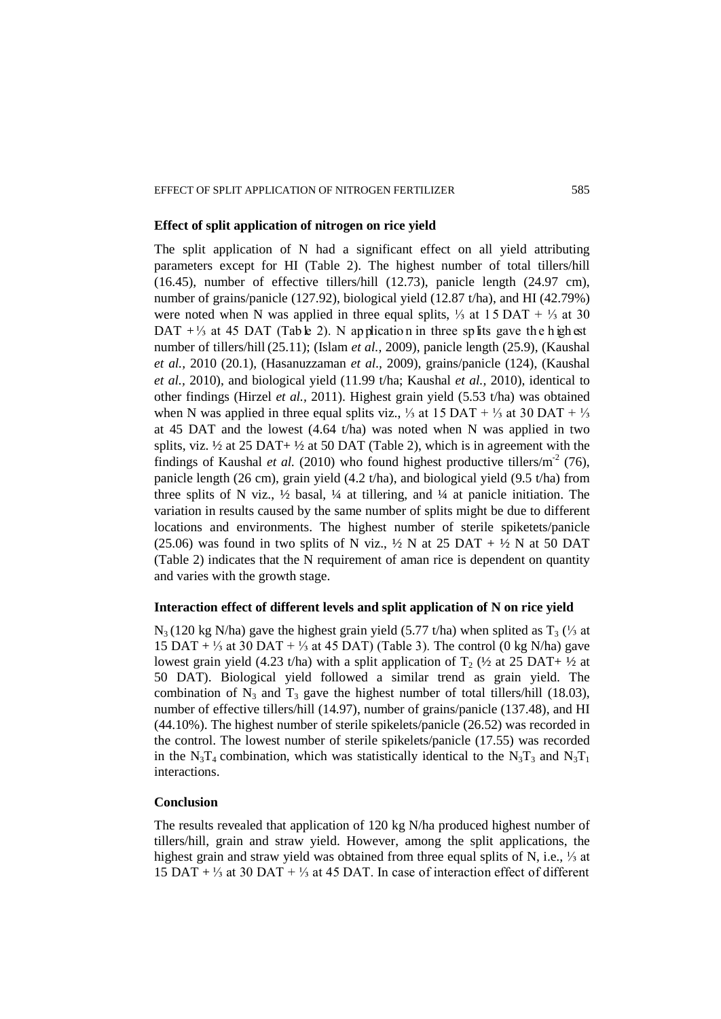#### EFFECT OF SPLIT APPLICATION OF NITROGEN FERTILIZER 585

## **Effect of split application of nitrogen on rice yield**

The split application of N had a significant effect on all yield attributing parameters except for HI (Table 2). The highest number of total tillers/hill (16.45), number of effective tillers/hill (12.73), panicle length (24.97 cm), number of grains/panicle (127.92), biological yield (12.87 t/ha), and HI (42.79%) were noted when N was applied in three equal splits,  $\frac{1}{3}$  at 15 DAT +  $\frac{1}{3}$  at 30 DAT  $+ \frac{1}{3}$  at 45 DAT (Tab le 2). N ap plication in three sp lits gave the highest number of tillers/hill (25.11); (Islam *et al.,* 2009), panicle length (25.9), (Kaushal *et al.,* 2010 (20.1), (Hasanuzzaman *et al.,* 2009), grains/panicle (124), (Kaushal *et al.,* 2010), and biological yield (11.99 t/ha; Kaushal *et al.,* 2010), identical to other findings (Hirzel *et al.,* 2011). Highest grain yield (5.53 t/ha) was obtained when N was applied in three equal splits viz., <sup>1</sup>/<sub>3</sub> at 15 DAT + <sup>1</sup>/<sub>3</sub> at 30 DAT + <sup>1</sup>/<sub>3</sub> at 45 DAT and the lowest (4.64 t/ha) was noted when N was applied in two splits, viz.  $\frac{1}{2}$  at 25 DAT+  $\frac{1}{2}$  at 50 DAT (Table 2), which is in agreement with the findings of Kaushal *et al.* (2010) who found highest productive tillers/ $m^2$  (76), panicle length (26 cm), grain yield (4.2 t/ha), and biological yield (9.5 t/ha) from three splits of N viz.,  $\frac{1}{2}$  basal,  $\frac{1}{4}$  at tillering, and  $\frac{1}{4}$  at panicle initiation. The variation in results caused by the same number of splits might be due to different locations and environments. The highest number of sterile spiketets/panicle (25.06) was found in two splits of N viz.,  $\frac{1}{2}$  N at 25 DAT +  $\frac{1}{2}$  N at 50 DAT (Table 2) indicates that the N requirement of aman rice is dependent on quantity and varies with the growth stage.

## **Interaction effect of different levels and split application of N on rice yield**

 $N_3$  (120 kg N/ha) gave the highest grain yield (5.77 t/ha) when splited as  $T_3$  (⅓ at 15 DAT + 1/3 at 30 DAT + 1/3 at 45 DAT) (Table 3). The control (0 kg N/ha) gave lowest grain yield (4.23 t/ha) with a split application of  $T_2$  ( $\frac{1}{2}$  at 25 DAT+  $\frac{1}{2}$  at 50 DAT). Biological yield followed a similar trend as grain yield. The combination of  $N_3$  and  $T_3$  gave the highest number of total tillers/hill (18.03), number of effective tillers/hill (14.97), number of grains/panicle (137.48), and HI (44.10%). The highest number of sterile spikelets/panicle (26.52) was recorded in the control. The lowest number of sterile spikelets/panicle (17.55) was recorded in the  $N_3T_4$  combination, which was statistically identical to the  $N_3T_3$  and  $N_3T_1$ interactions.

## **Conclusion**

The results revealed that application of 120 kg N/ha produced highest number of tillers/hill, grain and straw yield. However, among the split applications, the highest grain and straw yield was obtained from three equal splits of N, i.e., ⅓ at 15 DAT + ⅓ at 30 DAT + ⅓ at 45 DAT. In case of interaction effect of different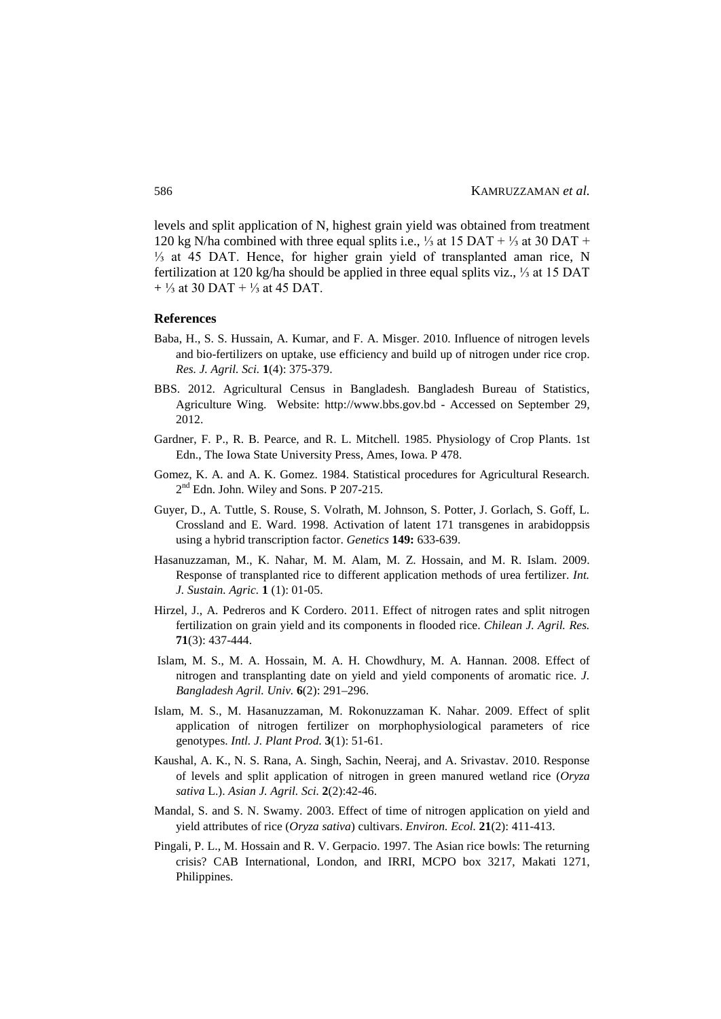levels and split application of N, highest grain yield was obtained from treatment 120 kg N/ha combined with three equal splits i.e., ⅓ at 15 DAT + ⅓ at 30 DAT + ⅓ at 45 DAT. Hence, for higher grain yield of transplanted aman rice, N fertilization at 120 kg/ha should be applied in three equal splits viz., ⅓ at 15 DAT  $+ \frac{1}{3}$  at 30 DAT +  $\frac{1}{3}$  at 45 DAT.

#### **References**

- Baba, H., S. S. Hussain, A. Kumar, and F. A. Misger. 2010. Influence of nitrogen levels and bio-fertilizers on uptake, use efficiency and build up of nitrogen under rice crop. *Res. J. Agril. Sci.* **1**(4): 375-379.
- BBS. 2012. Agricultural Census in Bangladesh. Bangladesh Bureau of Statistics, Agriculture Wing. Website: http://www.bbs.gov.bd - Accessed on September 29, 2012.
- Gardner, F. P., R. B. Pearce, and R. L. Mitchell. 1985. Physiology of Crop Plants. 1st Edn., The Iowa State University Press, Ames, Iowa. P 478.
- Gomez, K. A. and A. K. Gomez. 1984. Statistical procedures for Agricultural Research. 2<sup>nd</sup> Edn. John. Wiley and Sons. P 207-215.
- Guyer, D., A. Tuttle, S. Rouse, S. Volrath, M. Johnson, S. Potter, J. Gorlach, S. Goff, L. Crossland and E. Ward. 1998. Activation of latent 171 transgenes in arabidoppsis using a hybrid transcription factor. *Genetics* **149:** 633-639.
- Hasanuzzaman, M., K. Nahar, M. M. Alam, M. Z. Hossain, and M. R. Islam. 2009. Response of transplanted rice to different application methods of urea fertilizer. *Int. J. Sustain. Agric.* **1** (1): 01-05.
- Hirzel, J., A. Pedreros and K Cordero. 2011. Effect of nitrogen rates and split nitrogen fertilization on grain yield and its components in flooded rice. *Chilean J. Agril. Res.* **71**(3): 437-444.
- Islam, M. S., M. A. Hossain, M. A. H. Chowdhury, M. A. Hannan. 2008. Effect of nitrogen and transplanting date on yield and yield components of aromatic rice. *J. Bangladesh Agril. Univ.* **6**(2): 291–296.
- Islam, M. S., M. Hasanuzzaman, M. Rokonuzzaman K. Nahar. 2009. Effect of split application of nitrogen fertilizer on morphophysiological parameters of rice genotypes. *Intl. J. Plant Prod.* **3**(1): 51-61.
- Kaushal, A. K., N. S. Rana, A. Singh, Sachin, Neeraj, and A. Srivastav. 2010. Response of levels and split application of nitrogen in green manured wetland rice (*Oryza sativa* L.). *Asian J. Agril. Sci.* **2**(2):42-46.
- Mandal, S. and S. N. Swamy. 2003. Effect of time of nitrogen application on yield and yield attributes of rice (*Oryza sativa*) cultivars. *Environ. Ecol.* **21**(2): 411-413.
- Pingali, P. L., M. Hossain and R. V. Gerpacio. 1997. The Asian rice bowls: The returning crisis? CAB International, London, and IRRI, MCPO box 3217, Makati 1271, Philippines.